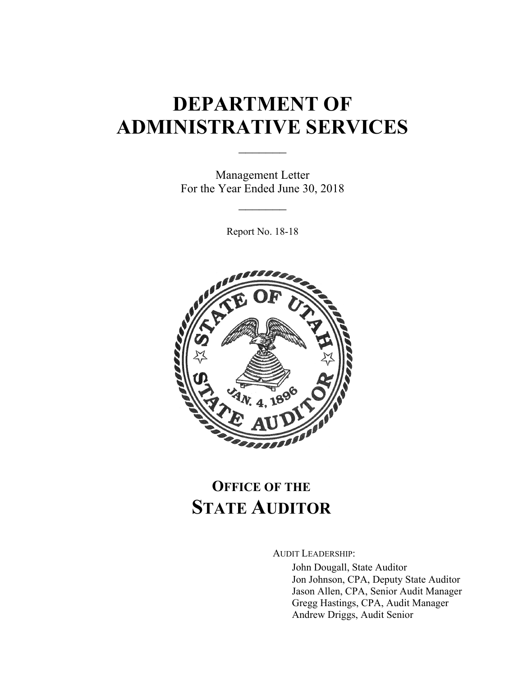# **DEPARTMENT OF ADMINISTRATIVE SERVICES**

 $\frac{1}{2}$ 

Management Letter For the Year Ended June 30, 2018

 $\mathcal{L}_\text{max}$ 

Report No. 18-18



# **OFFICE OF THE STATE AUDITOR**

AUDIT LEADERSHIP:

John Dougall, State Auditor Jon Johnson, CPA, Deputy State Auditor Jason Allen, CPA, Senior Audit Manager Gregg Hastings, CPA, Audit Manager Andrew Driggs, Audit Senior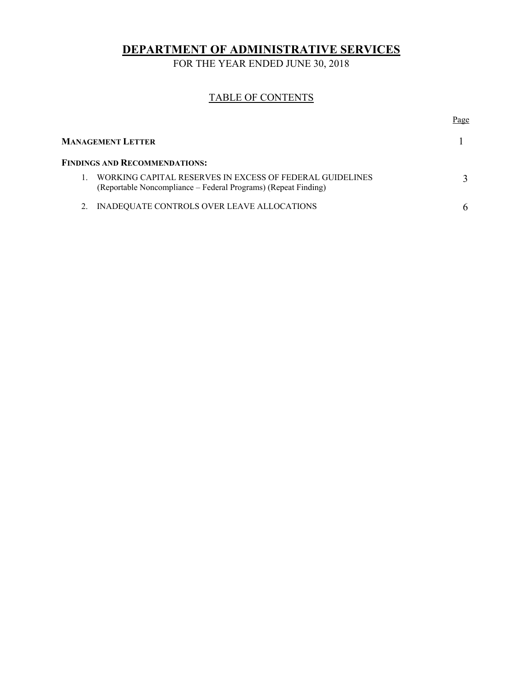**DEPARTMENT OF ADMINISTRATIVE SERVICES** 

FOR THE YEAR ENDED JUNE 30, 2018

#### TABLE OF CONTENTS

| Page |
|------|
|      |
|      |
|      |
|      |
|      |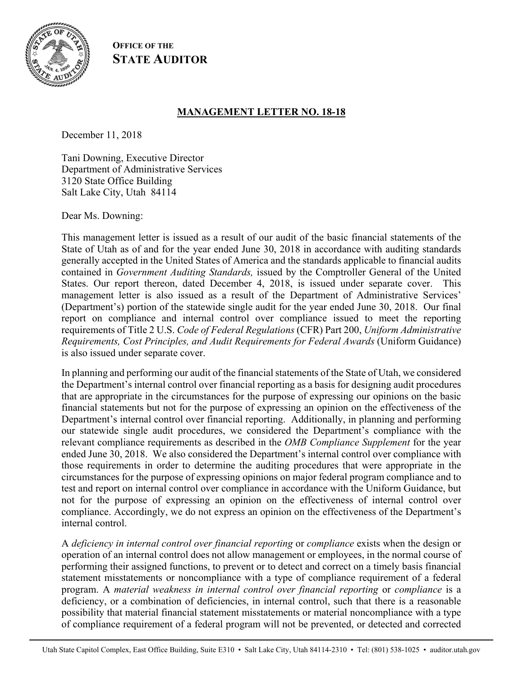

**OFFICE OF THE STATE AUDITOR**

## **MANAGEMENT LETTER NO. 18-18**

December 11, 2018

Tani Downing, Executive Director Department of Administrative Services 3120 State Office Building Salt Lake City, Utah 84114

Dear Ms. Downing:

This management letter is issued as a result of our audit of the basic financial statements of the State of Utah as of and for the year ended June 30, 2018 in accordance with auditing standards generally accepted in the United States of America and the standards applicable to financial audits contained in *Government Auditing Standards,* issued by the Comptroller General of the United States. Our report thereon, dated December 4, 2018, is issued under separate cover. This management letter is also issued as a result of the Department of Administrative Services' (Department's) portion of the statewide single audit for the year ended June 30, 2018. Our final report on compliance and internal control over compliance issued to meet the reporting requirements of Title 2 U.S. *Code of Federal Regulations* (CFR) Part 200, *Uniform Administrative Requirements, Cost Principles, and Audit Requirements for Federal Awards* (Uniform Guidance) is also issued under separate cover.

In planning and performing our audit of the financial statements of the State of Utah, we considered the Department's internal control over financial reporting as a basis for designing audit procedures that are appropriate in the circumstances for the purpose of expressing our opinions on the basic financial statements but not for the purpose of expressing an opinion on the effectiveness of the Department's internal control over financial reporting. Additionally, in planning and performing our statewide single audit procedures, we considered the Department's compliance with the relevant compliance requirements as described in the *OMB Compliance Supplement* for the year ended June 30, 2018. We also considered the Department's internal control over compliance with those requirements in order to determine the auditing procedures that were appropriate in the circumstances for the purpose of expressing opinions on major federal program compliance and to test and report on internal control over compliance in accordance with the Uniform Guidance, but not for the purpose of expressing an opinion on the effectiveness of internal control over compliance. Accordingly, we do not express an opinion on the effectiveness of the Department's internal control.

A *deficiency in internal control over financial reporting* or *compliance* exists when the design or operation of an internal control does not allow management or employees, in the normal course of performing their assigned functions, to prevent or to detect and correct on a timely basis financial statement misstatements or noncompliance with a type of compliance requirement of a federal program. A *material weakness in internal control over financial reporting* or *compliance* is a deficiency, or a combination of deficiencies, in internal control, such that there is a reasonable possibility that material financial statement misstatements or material noncompliance with a type of compliance requirement of a federal program will not be prevented, or detected and corrected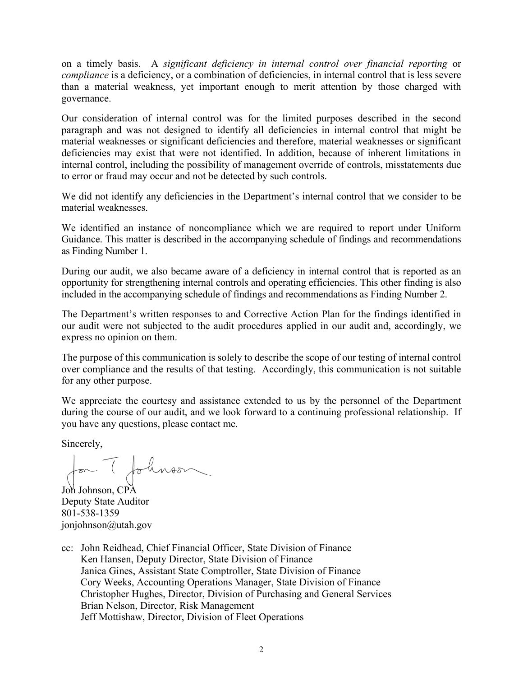on a timely basis. A *significant deficiency in internal control over financial reporting* or *compliance* is a deficiency, or a combination of deficiencies, in internal control that is less severe than a material weakness, yet important enough to merit attention by those charged with governance.

Our consideration of internal control was for the limited purposes described in the second paragraph and was not designed to identify all deficiencies in internal control that might be material weaknesses or significant deficiencies and therefore, material weaknesses or significant deficiencies may exist that were not identified. In addition, because of inherent limitations in internal control, including the possibility of management override of controls, misstatements due to error or fraud may occur and not be detected by such controls.

We did not identify any deficiencies in the Department's internal control that we consider to be material weaknesses.

We identified an instance of noncompliance which we are required to report under Uniform Guidance. This matter is described in the accompanying schedule of findings and recommendations as Finding Number 1.

During our audit, we also became aware of a deficiency in internal control that is reported as an opportunity for strengthening internal controls and operating efficiencies. This other finding is also included in the accompanying schedule of findings and recommendations as Finding Number 2.

The Department's written responses to and Corrective Action Plan for the findings identified in our audit were not subjected to the audit procedures applied in our audit and, accordingly, we express no opinion on them.

The purpose of this communication is solely to describe the scope of our testing of internal control over compliance and the results of that testing. Accordingly, this communication is not suitable for any other purpose.

We appreciate the courtesy and assistance extended to us by the personnel of the Department during the course of our audit, and we look forward to a continuing professional relationship. If you have any questions, please contact me.

Sincerely,

for (followson

Johnson, CPA Deputy State Auditor 801-538-1359 jonjohnson@utah.gov

cc: John Reidhead, Chief Financial Officer, State Division of Finance Ken Hansen, Deputy Director, State Division of Finance Janica Gines, Assistant State Comptroller, State Division of Finance Cory Weeks, Accounting Operations Manager, State Division of Finance Christopher Hughes, Director, Division of Purchasing and General Services Brian Nelson, Director, Risk Management Jeff Mottishaw, Director, Division of Fleet Operations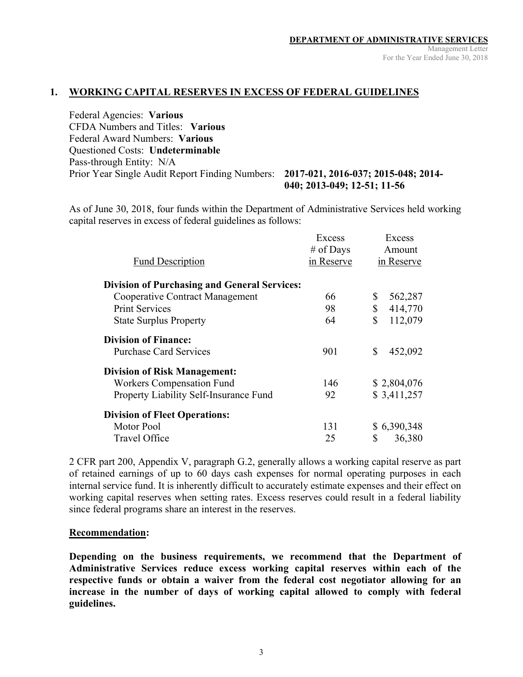#### **1. WORKING CAPITAL RESERVES IN EXCESS OF FEDERAL GUIDELINES**

Federal Agencies: **Various**  CFDA Numbers and Titles: **Various**  Federal Award Numbers: **Various**  Questioned Costs: **Undeterminable** Pass-through Entity: N/A Prior Year Single Audit Report Finding Numbers: **2017-021, 2016-037; 2015-048; 2014- 040; 2013-049; 12-51; 11-56** 

As of June 30, 2018, four funds within the Department of Administrative Services held working capital reserves in excess of federal guidelines as follows:

|                                                     | Excess     | Excess        |
|-----------------------------------------------------|------------|---------------|
|                                                     | # of Days  | Amount        |
| <b>Fund Description</b>                             | in Reserve | in Reserve    |
| <b>Division of Purchasing and General Services:</b> |            |               |
| <b>Cooperative Contract Management</b>              | 66         | \$<br>562,287 |
| <b>Print Services</b>                               | 98         | \$<br>414,770 |
| <b>State Surplus Property</b>                       | 64         | \$<br>112,079 |
| <b>Division of Finance:</b>                         |            |               |
| <b>Purchase Card Services</b>                       | 901        | \$<br>452,092 |
| <b>Division of Risk Management:</b>                 |            |               |
| <b>Workers Compensation Fund</b>                    | 146        | \$2,804,076   |
| Property Liability Self-Insurance Fund              | 92         | \$3,411,257   |
| <b>Division of Fleet Operations:</b>                |            |               |
| Motor Pool                                          | 131        | \$6,390,348   |
| <b>Travel Office</b>                                | 25         | \$<br>36,380  |

2 CFR part 200, Appendix V, paragraph G.2, generally allows a working capital reserve as part of retained earnings of up to 60 days cash expenses for normal operating purposes in each internal service fund. It is inherently difficult to accurately estimate expenses and their effect on working capital reserves when setting rates. Excess reserves could result in a federal liability since federal programs share an interest in the reserves.

#### **Recommendation:**

**Depending on the business requirements, we recommend that the Department of Administrative Services reduce excess working capital reserves within each of the respective funds or obtain a waiver from the federal cost negotiator allowing for an increase in the number of days of working capital allowed to comply with federal guidelines.**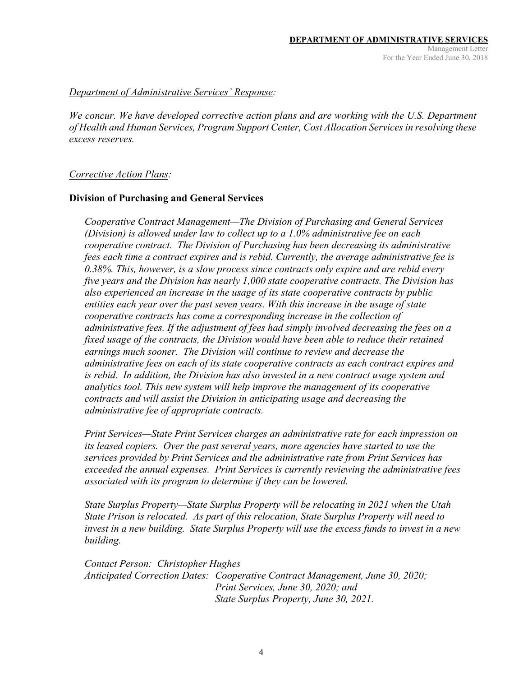#### *Department of Administrative Services' Response:*

*We concur. We have developed corrective action plans and are working with the U.S. Department of Health and Human Services, Program Support Center, Cost Allocation Services in resolving these excess reserves.* 

#### *Corrective Action Plans:*

#### **Division of Purchasing and General Services**

*Cooperative Contract Management—The Division of Purchasing and General Services (Division) is allowed under law to collect up to a 1.0% administrative fee on each cooperative contract. The Division of Purchasing has been decreasing its administrative fees each time a contract expires and is rebid. Currently, the average administrative fee is 0.38%. This, however, is a slow process since contracts only expire and are rebid every five years and the Division has nearly 1,000 state cooperative contracts. The Division has also experienced an increase in the usage of its state cooperative contracts by public entities each year over the past seven years. With this increase in the usage of state cooperative contracts has come a corresponding increase in the collection of administrative fees. If the adjustment of fees had simply involved decreasing the fees on a fixed usage of the contracts, the Division would have been able to reduce their retained earnings much sooner. The Division will continue to review and decrease the administrative fees on each of its state cooperative contracts as each contract expires and is rebid. In addition, the Division has also invested in a new contract usage system and analytics tool. This new system will help improve the management of its cooperative contracts and will assist the Division in anticipating usage and decreasing the administrative fee of appropriate contracts.* 

*Print Services—State Print Services charges an administrative rate for each impression on its leased copiers. Over the past several years, more agencies have started to use the services provided by Print Services and the administrative rate from Print Services has exceeded the annual expenses. Print Services is currently reviewing the administrative fees associated with its program to determine if they can be lowered.* 

*State Surplus Property—State Surplus Property will be relocating in 2021 when the Utah State Prison is relocated. As part of this relocation, State Surplus Property will need to invest in a new building. State Surplus Property will use the excess funds to invest in a new building.* 

*Contact Person: Christopher Hughes Anticipated Correction Dates: Cooperative Contract Management, June 30, 2020; Print Services, June 30, 2020; and State Surplus Property, June 30, 2021.*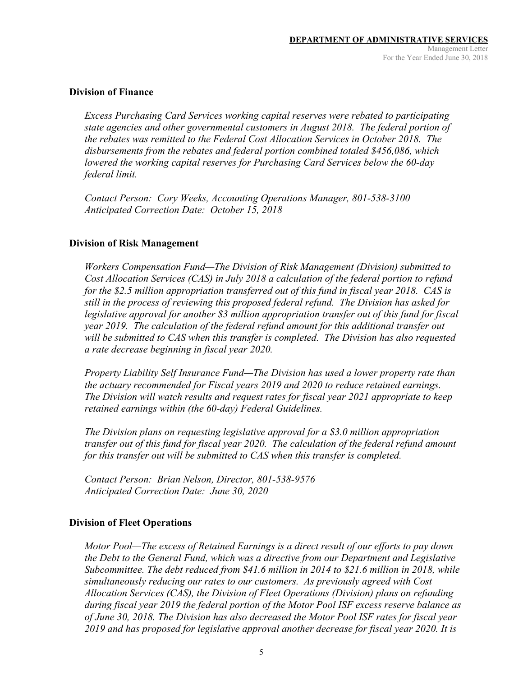#### **Division of Finance**

*Excess Purchasing Card Services working capital reserves were rebated to participating state agencies and other governmental customers in August 2018. The federal portion of the rebates was remitted to the Federal Cost Allocation Services in October 2018. The disbursements from the rebates and federal portion combined totaled \$456,086, which lowered the working capital reserves for Purchasing Card Services below the 60-day federal limit.* 

*Contact Person: Cory Weeks, Accounting Operations Manager, 801-538-3100 Anticipated Correction Date: October 15, 2018* 

#### **Division of Risk Management**

*Workers Compensation Fund—The Division of Risk Management (Division) submitted to Cost Allocation Services (CAS) in July 2018 a calculation of the federal portion to refund for the \$2.5 million appropriation transferred out of this fund in fiscal year 2018. CAS is still in the process of reviewing this proposed federal refund. The Division has asked for legislative approval for another \$3 million appropriation transfer out of this fund for fiscal year 2019. The calculation of the federal refund amount for this additional transfer out will be submitted to CAS when this transfer is completed. The Division has also requested a rate decrease beginning in fiscal year 2020.* 

*Property Liability Self Insurance Fund—The Division has used a lower property rate than the actuary recommended for Fiscal years 2019 and 2020 to reduce retained earnings. The Division will watch results and request rates for fiscal year 2021 appropriate to keep retained earnings within (the 60-day) Federal Guidelines.* 

*The Division plans on requesting legislative approval for a \$3.0 million appropriation transfer out of this fund for fiscal year 2020. The calculation of the federal refund amount for this transfer out will be submitted to CAS when this transfer is completed.* 

*Contact Person: Brian Nelson, Director, 801-538-9576 Anticipated Correction Date: June 30, 2020* 

#### **Division of Fleet Operations**

*Motor Pool—The excess of Retained Earnings is a direct result of our efforts to pay down the Debt to the General Fund, which was a directive from our Department and Legislative Subcommittee. The debt reduced from \$41.6 million in 2014 to \$21.6 million in 2018, while simultaneously reducing our rates to our customers. As previously agreed with Cost Allocation Services (CAS), the Division of Fleet Operations (Division) plans on refunding during fiscal year 2019 the federal portion of the Motor Pool ISF excess reserve balance as of June 30, 2018. The Division has also decreased the Motor Pool ISF rates for fiscal year 2019 and has proposed for legislative approval another decrease for fiscal year 2020. It is*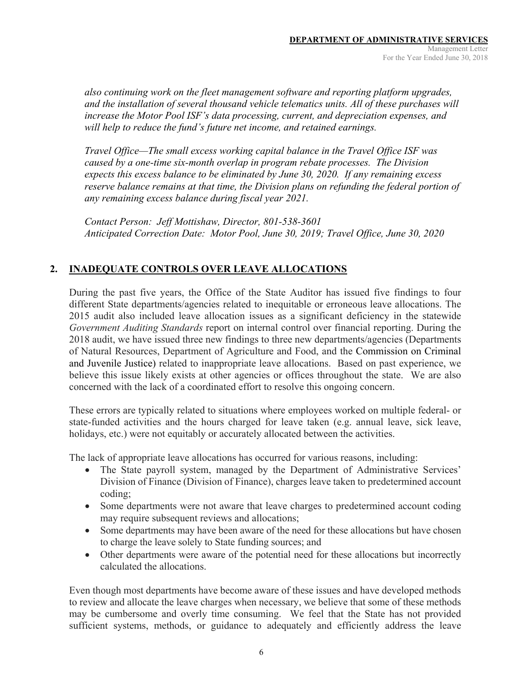*also continuing work on the fleet management software and reporting platform upgrades, and the installation of several thousand vehicle telematics units. All of these purchases will increase the Motor Pool ISF's data processing, current, and depreciation expenses, and will help to reduce the fund's future net income, and retained earnings.* 

*Travel Office—The small excess working capital balance in the Travel Office ISF was caused by a one-time six-month overlap in program rebate processes. The Division expects this excess balance to be eliminated by June 30, 2020. If any remaining excess reserve balance remains at that time, the Division plans on refunding the federal portion of any remaining excess balance during fiscal year 2021.* 

*Contact Person: Jeff Mottishaw, Director, 801-538-3601 Anticipated Correction Date: Motor Pool, June 30, 2019; Travel Office, June 30, 2020* 

### **2. INADEQUATE CONTROLS OVER LEAVE ALLOCATIONS**

During the past five years, the Office of the State Auditor has issued five findings to four different State departments/agencies related to inequitable or erroneous leave allocations. The 2015 audit also included leave allocation issues as a significant deficiency in the statewide *Government Auditing Standards* report on internal control over financial reporting. During the 2018 audit, we have issued three new findings to three new departments/agencies (Departments of Natural Resources, Department of Agriculture and Food, and the Commission on Criminal and Juvenile Justice) related to inappropriate leave allocations. Based on past experience, we believe this issue likely exists at other agencies or offices throughout the state. We are also concerned with the lack of a coordinated effort to resolve this ongoing concern.

These errors are typically related to situations where employees worked on multiple federal- or state-funded activities and the hours charged for leave taken (e.g. annual leave, sick leave, holidays, etc.) were not equitably or accurately allocated between the activities.

The lack of appropriate leave allocations has occurred for various reasons, including:

- The State payroll system, managed by the Department of Administrative Services' Division of Finance (Division of Finance), charges leave taken to predetermined account coding;
- Some departments were not aware that leave charges to predetermined account coding may require subsequent reviews and allocations;
- Some departments may have been aware of the need for these allocations but have chosen to charge the leave solely to State funding sources; and
- Other departments were aware of the potential need for these allocations but incorrectly calculated the allocations.

Even though most departments have become aware of these issues and have developed methods to review and allocate the leave charges when necessary, we believe that some of these methods may be cumbersome and overly time consuming. We feel that the State has not provided sufficient systems, methods, or guidance to adequately and efficiently address the leave